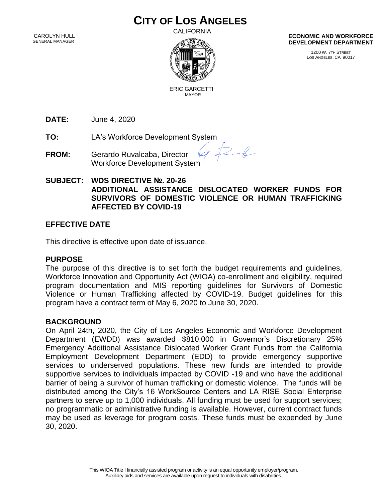# **CITY OF LOS ANGELES**

 CAROLYN HULL GENERAL MANAGER

CALIFORNIA



**ECONOMIC AND WORKFORCE DEVELOPMENT DEPARTMENT**

> 1200 W. 7TH STREET LOS ANGELES, CA 90017

 ERIC GARCETTI MAYOR

**DATE:** June 4, 2020

**TO:** LA's Workforce Development System

- **FROM:** Gerardo Ruvalcaba, Director Workforce Development System
- **SUBJECT: WDS DIRECTIVE №. 20-26 ADDITIONAL ASSISTANCE DISLOCATED WORKER FUNDS FOR SURVIVORS OF DOMESTIC VIOLENCE OR HUMAN TRAFFICKING AFFECTED BY COVID-19**

 $26$ 

# **EFFECTIVE DATE**

This directive is effective upon date of issuance.

#### **PURPOSE**

The purpose of this directive is to set forth the budget requirements and guidelines, Workforce Innovation and Opportunity Act (WIOA) co-enrollment and eligibility, required program documentation and MIS reporting guidelines for Survivors of Domestic Violence or Human Trafficking affected by COVID-19. Budget guidelines for this program have a contract term of May 6, 2020 to June 30, 2020.

### **BACKGROUND**

On April 24th, 2020, the City of Los Angeles Economic and Workforce Development Department (EWDD) was awarded \$810,000 in Governor's Discretionary 25% Emergency Additional Assistance Dislocated Worker Grant Funds from the California Employment Development Department (EDD) to provide emergency supportive services to underserved populations. These new funds are intended to provide supportive services to individuals impacted by COVID -19 and who have the additional barrier of being a survivor of human trafficking or domestic violence. The funds will be distributed among the City's 16 WorkSource Centers and LA RISE Social Enterprise partners to serve up to 1,000 individuals. All funding must be used for support services; no programmatic or administrative funding is available. However, current contract funds may be used as leverage for program costs. These funds must be expended by June 30, 2020.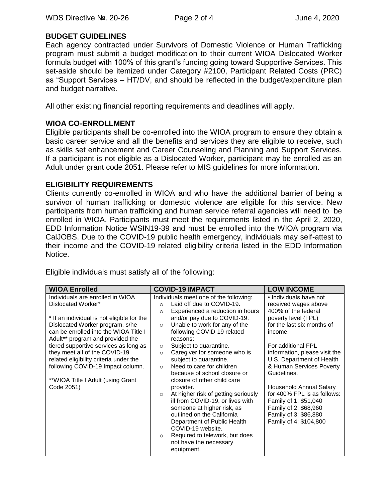### **BUDGET GUIDELINES**

Each agency contracted under Survivors of Domestic Violence or Human Trafficking program must submit a budget modification to their current WIOA Dislocated Worker formula budget with 100% of this grant's funding going toward Supportive Services. This set-aside should be itemized under Category #2100, Participant Related Costs (PRC) as "Support Services – HT/DV, and should be reflected in the budget/expenditure plan and budget narrative.

All other existing financial reporting requirements and deadlines will apply.

#### **WIOA CO-ENROLLMENT**

Eligible participants shall be co-enrolled into the WIOA program to ensure they obtain a basic career service and all the benefits and services they are eligible to receive, such as skills set enhancement and Career Counseling and Planning and Support Services. If a participant is not eligible as a Dislocated Worker, participant may be enrolled as an Adult under grant code 2051. Please refer to MIS guidelines for more information.

#### **ELIGIBILITY REQUIREMENTS**

Clients currently co-enrolled in WIOA and who have the additional barrier of being a survivor of human trafficking or domestic violence are eligible for this service. New participants from human trafficking and human service referral agencies will need to be enrolled in WIOA. Participants must meet the requirements listed in the April 2, 2020, EDD Information Notice WSIN19-39 and must be enrolled into the WIOA program via CalJOBS. Due to the COVID-19 public health emergency, individuals may self-attest to their income and the COVID-19 related eligibility criteria listed in the EDD Information Notice.

| <b>WIOA Enrolled</b>                                                                                                                                                                       | <b>COVID-19 IMPACT</b>                                                                                                                                                                                          | <b>LOW INCOME</b>                                                                                                                                           |
|--------------------------------------------------------------------------------------------------------------------------------------------------------------------------------------------|-----------------------------------------------------------------------------------------------------------------------------------------------------------------------------------------------------------------|-------------------------------------------------------------------------------------------------------------------------------------------------------------|
| Individuals are enrolled in WIOA<br>Dislocated Worker*<br>* If an individual is not eligible for the                                                                                       | Individuals meet one of the following:<br>Laid off due to COVID-19.<br>$\Omega$<br>Experienced a reduction in hours<br>$\Omega$<br>and/or pay due to COVID-19.                                                  | • Individuals have not<br>received wages above<br>400% of the federal<br>poverty level (FPL)                                                                |
| Dislocated Worker program, s/he<br>can be enrolled into the WIOA Title I<br>Adult** program and provided the                                                                               | Unable to work for any of the<br>$\circ$<br>following COVID-19 related<br>reasons:                                                                                                                              | for the last six months of<br>income.                                                                                                                       |
| tiered supportive services as long as<br>they meet all of the COVID-19<br>related eligibility criteria under the<br>following COVID-19 Impact column.<br>**WIOA Title I Adult (using Grant | Subject to quarantine.<br>$\circ$<br>Caregiver for someone who is<br>$\circ$<br>subject to quarantine.<br>Need to care for children<br>$\circ$<br>because of school closure or<br>closure of other child care   | For additional FPL<br>information, please visit the<br>U.S. Department of Health<br>& Human Services Poverty<br>Guidelines.                                 |
| Code 2051)                                                                                                                                                                                 | provider.<br>At higher risk of getting seriously<br>$\circ$<br>ill from COVID-19, or lives with<br>someone at higher risk, as<br>outlined on the California<br>Department of Public Health<br>COVID-19 website. | Household Annual Salary<br>for 400% FPL is as follows:<br>Family of 1: \$51,040<br>Family of 2: \$68,960<br>Family of 3: \$86,880<br>Family of 4: \$104,800 |
|                                                                                                                                                                                            | Required to telework, but does<br>$\circ$<br>not have the necessary<br>equipment.                                                                                                                               |                                                                                                                                                             |

Eligible individuals must satisfy all of the following: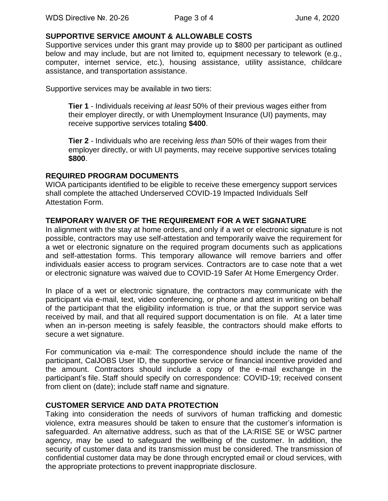#### **SUPPORTIVE SERVICE AMOUNT & ALLOWABLE COSTS**

Supportive services under this grant may provide up to \$800 per participant as outlined below and may include, but are not limited to, equipment necessary to telework (e.g., computer, internet service, etc.), housing assistance, utility assistance, childcare assistance, and transportation assistance.

Supportive services may be available in two tiers:

**Tier 1** - Individuals receiving *at least* 50% of their previous wages either from their employer directly, or with Unemployment Insurance (UI) payments, may receive supportive services totaling **\$400**.

**Tier 2** - Individuals who are receiving *less than* 50% of their wages from their employer directly, or with UI payments, may receive supportive services totaling **\$800**.

### **REQUIRED PROGRAM DOCUMENTS**

WIOA participants identified to be eligible to receive these emergency support services shall complete the attached Underserved COVID-19 Impacted Individuals Self Attestation Form.

## **TEMPORARY WAIVER OF THE REQUIREMENT FOR A WET SIGNATURE**

In alignment with the stay at home orders, and only if a wet or electronic signature is not possible, contractors may use self-attestation and temporarily waive the requirement for a wet or electronic signature on the required program documents such as applications and self-attestation forms. This temporary allowance will remove barriers and offer individuals easier access to program services. Contractors are to case note that a wet or electronic signature was waived due to COVID-19 Safer At Home Emergency Order.

In place of a wet or electronic signature, the contractors may communicate with the participant via e-mail, text, video conferencing, or phone and attest in writing on behalf of the participant that the eligibility information is true, or that the support service was received by mail, and that all required support documentation is on file. At a later time when an in-person meeting is safely feasible, the contractors should make efforts to secure a wet signature.

For communication via e-mail: The correspondence should include the name of the participant, CalJOBS User ID, the supportive service or financial incentive provided and the amount. Contractors should include a copy of the e-mail exchange in the participant's file. Staff should specify on correspondence: COVID-19; received consent from client on (date); include staff name and signature.

# **CUSTOMER SERVICE AND DATA PROTECTION**

Taking into consideration the needs of survivors of human trafficking and domestic violence, extra measures should be taken to ensure that the customer's information is safeguarded. An alternative address, such as that of the LA:RISE SE or WSC partner agency, may be used to safeguard the wellbeing of the customer. In addition, the security of customer data and its transmission must be considered. The transmission of confidential customer data may be done through encrypted email or cloud services, with the appropriate protections to prevent inappropriate disclosure.